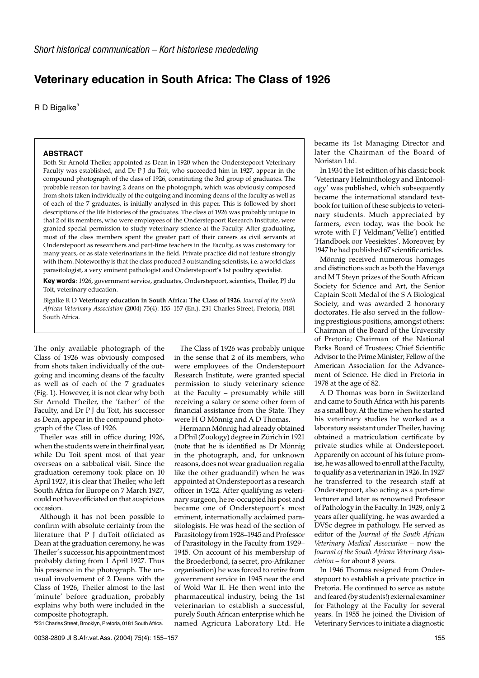## **Veterinary education in South Africa: The Class of 1926**

 $R$  D Bigalke<sup>a</sup>

## **ABSTRACT**

Both Sir Arnold Theiler, appointed as Dean in 1920 when the Onderstepoort Veterinary Faculty was established, and Dr P J du Toit, who succeeded him in 1927, appear in the compound photograph of the class of 1926, constituting the 3rd group of graduates. The probable reason for having 2 deans on the photograph, which was obviously composed from shots taken individually of the outgoing and incoming deans of the faculty as well as of each of the 7 graduates, is initially analysed in this paper. This is followed by short descriptions of the life histories of the graduates. The class of 1926 was probably unique in that 2 of its members, who were employees of the Onderstepoort Research Institute, were granted special permission to study veterinary science at the Faculty. After graduating, most of the class members spent the greater part of their careers as civil servants at Onderstepoort as researchers and part-time teachers in the Faculty, as was customary for many years, or as state veterinarians in the field. Private practice did not feature strongly with them. Noteworthy is that the class produced 3 outstanding scientists, i.e. a world class parasitologist, a very eminent pathologist and Onderstepoort's 1st poultry specialist.

**Key words**: 1926, government service, graduates, Onderstepoort, scientists, Theiler, PJ du Toit, veterinary education.

Bigalke R D **Veterinary education in South Africa: The Class of 1926**. *Journal of the South African Veterinary Association* (2004) 75(4): 155–157 (En.). 231 Charles Street, Pretoria, 0181 South Africa.

The only available photograph of the Class of 1926 was obviously composed from shots taken individually of the outgoing and incoming deans of the faculty as well as of each of the 7 graduates (Fig. 1). However, it is not clear why both Sir Arnold Theiler, the 'father' of the Faculty, and Dr P J du Toit, his successor as Dean, appear in the compound photograph of the Class of 1926.

Theiler was still in office during 1926, when the students were in their final year, while Du Toit spent most of that year overseas on a sabbatical visit. Since the graduation ceremony took place on 10 April 1927, it is clear that Theiler, who left South Africa for Europe on 7 March 1927, could not have officiated on that auspicious occasion.

Although it has not been possible to confirm with absolute certainty from the literature that P J duToit officiated as Dean at the graduation ceremony, he was Theiler's successor, his appointment most probably dating from 1 April 1927. Thus his presence in the photograph. The unusual involvement of 2 Deans with the Class of 1926, Theiler almost to the last 'minute' before graduation, probably explains why both were included in the composite photograph.

<sup>a</sup>231 Charles Street, Brooklyn, Pretoria, 0181 South Africa.

The Class of 1926 was probably unique in the sense that 2 of its members, who were employees of the Onderstepoort Research Institute, were granted special permission to study veterinary science at the Faculty – presumably while still receiving a salary or some other form of financial assistance from the State. They were H O Mönnig and A D Thomas.

Hermann Mönnig had already obtained a DPhil (Zoology) degree in Zürich in1921 (note that he is identified as Dr Mönnig in the photograph, and, for unknown reasons, does not wear graduation regalia like the other graduandi!) when he was appointed at Onderstepoort as a research officer in 1922. After qualifying as veterinary surgeon, he re-occupied his post and became one of Onderstepoort's most eminent, internationally acclaimed parasitologists. He was head of the section of Parasitology from 1928–1945 and Professor of Parasitology in the Faculty from 1929– 1945. On account of his membership of the Broederbond, (a secret, pro-Afrikaner organisation) he was forced to retire from government service in 1945 near the end of Wold War II. He then went into the pharmaceutical industry, being the 1st veterinarian to establish a successful, purely South African enterprise which he named Agricura Laboratory Ltd. He

became its 1st Managing Director and later the Chairman of the Board of Noristan Ltd.

In 1934 the 1st edition of his classic book 'Veterinary Helminthology and Entomology' was published, which subsequently became the international standard textbook for tuition of these subjects to veterinary students. Much appreciated by farmers, even today, was the book he wrote with F J Veldman('Vellie') entitled 'Handboek oor Veesiektes'. Moreover, by 1947 he had published 67 scientific articles.

Mönnig received numerous homages and distinctions such as both the Havenga and M T Steyn prizes of the South African Society for Science and Art, the Senior Captain Scott Medal of the S A Biological Society, and was awarded 2 honorary doctorates. He also served in the following prestigious positions, amongst others: Chairman of the Board of the University of Pretoria; Chairman of the National Parks Board of Trustees; Chief Scientific Advisor to the Prime Minister; Fellow of the American Association for the Advancement of Science. He died in Pretoria in 1978 at the age of 82.

A D Thomas was born in Switzerland and came to South Africa with his parents as a small boy. At the time when he started his veterinary studies he worked as a laboratory assistant under Theiler, having obtained a matriculation certificate by private studies while at Onderstepoort. Apparently on account of his future promise, he was allowed to enroll at the Faculty, to qualify as a veterinarian in 1926. In 1927 he transferred to the research staff at Onderstepoort, also acting as a part-time lecturer and later as renowned Professor of Pathology in the Faculty. In 1929, only 2 years after qualifying, he was awarded a DVSc degree in pathology. He served as editor of the *Journal of the South African Veterinary Medical Association* – now the *Journal of the South African Veterinary Association* – for about 8 years.

In 1946 Thomas resigned from Onderstepoort to establish a private practice in Pretoria. He continued to serve as astute and feared (by students!) external examiner for Pathology at the Faculty for several years. In 1955 he joined the Division of Veterinary Services to initiate a diagnostic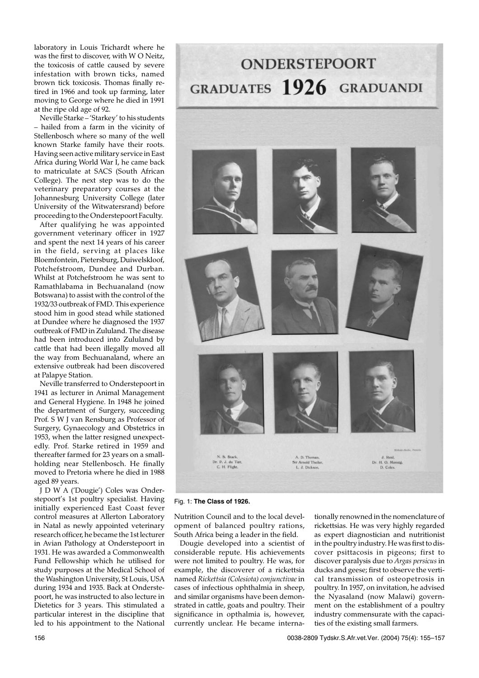laboratory in Louis Trichardt where he was the first to discover, with W O Neitz, the toxicosis of cattle caused by severe infestation with brown ticks, named brown tick toxicosis. Thomas finally retired in 1966 and took up farming, later moving to George where he died in 1991 at the ripe old age of 92.

Neville Starke – 'Starkey' to his students – hailed from a farm in the vicinity of Stellenbosch where so many of the well known Starke family have their roots. Having seen active military service in East Africa during World War I, he came back to matriculate at SACS (South African College). The next step was to do the veterinary preparatory courses at the Johannesburg University College (later University of the Witwatersrand) before proceeding to the Onderstepoort Faculty.

After qualifying he was appointed government veterinary officer in 1927 and spent the next 14 years of his career in the field, serving at places like Bloemfontein, Pietersburg, Duiwelskloof, Potchefstroom, Dundee and Durban. Whilst at Potchefstroom he was sent to Ramathlabama in Bechuanaland (now Botswana) to assist with the control of the 1932/33 outbreak of FMD. This experience stood him in good stead while stationed at Dundee where he diagnosed the 1937 outbreak of FMD in Zululand. The disease had been introduced into Zululand by cattle that had been illegally moved all the way from Bechuanaland, where an extensive outbreak had been discovered at Palapye Station.

Neville transferred to Onderstepoort in 1941 as lecturer in Animal Management and General Hygiene. In 1948 he joined the department of Surgery, succeeding Prof. S W J van Rensburg as Professor of Surgery, Gynaecology and Obstetrics in 1953, when the latter resigned unexpectedly. Prof. Starke retired in 1959 and thereafter farmed for 23 years on a smallholding near Stellenbosch. He finally moved to Pretoria where he died in 1988 aged 89 years.

J D W A ('Dougie') Coles was Onderstepoort's 1st poultry specialist. Having initially experienced East Coast fever control measures at Allerton Laboratory in Natal as newly appointed veterinary research officer, he became the 1st lecturer in Avian Pathology at Onderstepoort in 1931. He was awarded a Commonwealth Fund Fellowship which he utilised for study purposes at the Medical School of the Washington University, St Louis, USA during 1934 and 1935. Back at Onderstepoort, he was instructed to also lecture in Dietetics for 3 years. This stimulated a particular interest in the discipline that led to his appointment to the National



Fig. 1: **The Class of 1926.**

Nutrition Council and to the local development of balanced poultry rations, South Africa being a leader in the field.

Dougie developed into a scientist of considerable repute. His achievements were not limited to poultry. He was, for example, the discoverer of a rickettsia named *Rickettsia (Colesiota) conjunctivae* in cases of infectious ophthalmia in sheep, and similar organisms have been demonstrated in cattle, goats and poultry. Their significance in opthalmia is, however, currently unclear. He became internationally renowned in the nomenclature of rickettsias. He was very highly regarded as expert diagnostician and nutritionist in the poultry industry. He was first to discover psittacosis in pigeons; first to discover paralysis due to *Argas persicus* in ducks and geese; first to observe the vertical transmission of osteopetrosis in poultry. In 1957, on invitation, he advised the Nyasaland (now Malawi) government on the establishment of a poultry industry commensurate with the capacities of the existing small farmers.